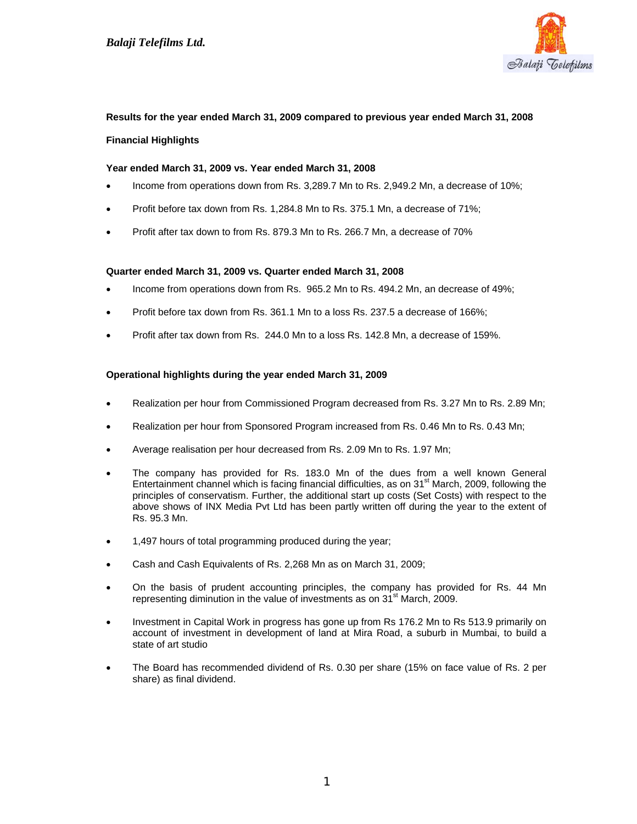

# **Results for the year ended March 31, 2009 compared to previous year ended March 31, 2008 Financial Highlights**

## **Year ended March 31, 2009 vs. Year ended March 31, 2008**

- Income from operations down from Rs. 3,289.7 Mn to Rs. 2,949.2 Mn, a decrease of 10%;
- Profit before tax down from Rs. 1,284.8 Mn to Rs. 375.1 Mn, a decrease of 71%;
- Profit after tax down to from Rs. 879.3 Mn to Rs. 266.7 Mn, a decrease of 70%

## **Quarter ended March 31, 2009 vs. Quarter ended March 31, 2008**

- Income from operations down from Rs. 965.2 Mn to Rs. 494.2 Mn, an decrease of 49%;
- Profit before tax down from Rs. 361.1 Mn to a loss Rs. 237.5 a decrease of 166%;
- Profit after tax down from Rs. 244.0 Mn to a loss Rs. 142.8 Mn, a decrease of 159%.

## **Operational highlights during the year ended March 31, 2009**

- Realization per hour from Commissioned Program decreased from Rs. 3.27 Mn to Rs. 2.89 Mn;
- Realization per hour from Sponsored Program increased from Rs. 0.46 Mn to Rs. 0.43 Mn;
- Average realisation per hour decreased from Rs. 2.09 Mn to Rs. 1.97 Mn;
- The company has provided for Rs. 183.0 Mn of the dues from a well known General Entertainment channel which is facing financial difficulties, as on  $31<sup>st</sup>$  March, 2009, following the principles of conservatism. Further, the additional start up costs (Set Costs) with respect to the above shows of INX Media Pvt Ltd has been partly written off during the year to the extent of Rs. 95.3 Mn.
- 1,497 hours of total programming produced during the year;
- Cash and Cash Equivalents of Rs. 2,268 Mn as on March 31, 2009;
- On the basis of prudent accounting principles, the company has provided for Rs. 44 Mn representing diminution in the value of investments as on  $31<sup>st</sup>$  March, 2009.
- Investment in Capital Work in progress has gone up from Rs 176.2 Mn to Rs 513.9 primarily on account of investment in development of land at Mira Road, a suburb in Mumbai, to build a state of art studio
- The Board has recommended dividend of Rs. 0.30 per share (15% on face value of Rs. 2 per share) as final dividend.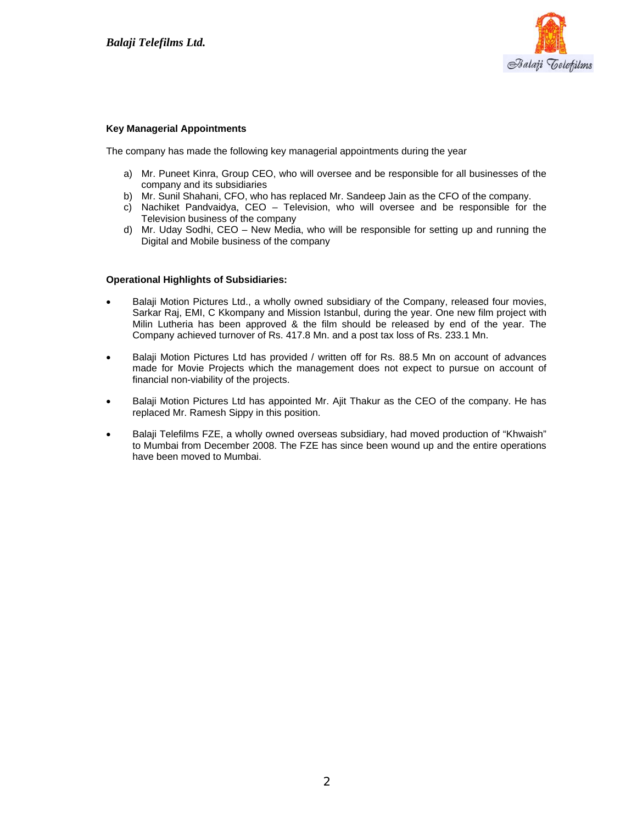

#### **Key Managerial Appointments**

The company has made the following key managerial appointments during the year

- a) Mr. Puneet Kinra, Group CEO, who will oversee and be responsible for all businesses of the company and its subsidiaries
- b) Mr. Sunil Shahani, CFO, who has replaced Mr. Sandeep Jain as the CFO of the company.
- c) Nachiket Pandvaidya, CEO Television, who will oversee and be responsible for the Television business of the company
- d) Mr. Uday Sodhi, CEO New Media, who will be responsible for setting up and running the Digital and Mobile business of the company

#### **Operational Highlights of Subsidiaries:**

- Balaji Motion Pictures Ltd., a wholly owned subsidiary of the Company, released four movies, Sarkar Raj, EMI, C Kkompany and Mission Istanbul, during the year. One new film project with Milin Lutheria has been approved & the film should be released by end of the year. The Company achieved turnover of Rs. 417.8 Mn. and a post tax loss of Rs. 233.1 Mn.
- Balaii Motion Pictures Ltd has provided / written off for Rs. 88.5 Mn on account of advances made for Movie Projects which the management does not expect to pursue on account of financial non-viability of the projects.
- Balaji Motion Pictures Ltd has appointed Mr. Ajit Thakur as the CEO of the company. He has replaced Mr. Ramesh Sippy in this position.
- Balaji Telefilms FZE, a wholly owned overseas subsidiary, had moved production of "Khwaish" to Mumbai from December 2008. The FZE has since been wound up and the entire operations have been moved to Mumbai.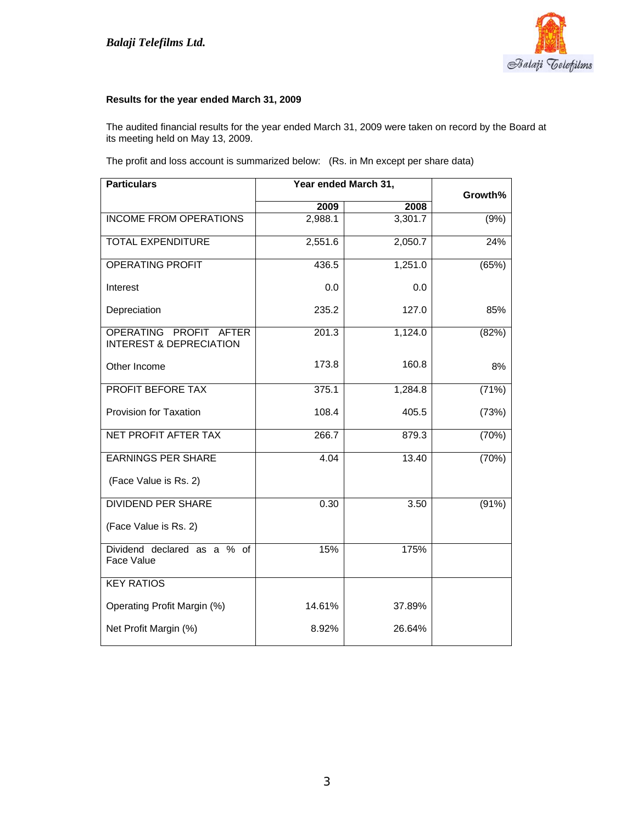

## **Results for the year ended March 31, 2009**

The audited financial results for the year ended March 31, 2009 were taken on record by the Board at its meeting held on May 13, 2009.

The profit and loss account is summarized below: (Rs. in Mn except per share data)

| <b>Particulars</b>                                           | Year ended March 31, | Growth% |       |
|--------------------------------------------------------------|----------------------|---------|-------|
|                                                              | 2009                 | 2008    |       |
| <b>INCOME FROM OPERATIONS</b>                                | 2,988.1              | 3,301.7 | (9%)  |
| <b>TOTAL EXPENDITURE</b>                                     | 2,551.6              | 2,050.7 | 24%   |
| <b>OPERATING PROFIT</b>                                      | 436.5                | 1,251.0 | (65%) |
| Interest                                                     | 0.0                  | 0.0     |       |
| Depreciation                                                 | 235.2                | 127.0   | 85%   |
| OPERATING PROFIT AFTER<br><b>INTEREST &amp; DEPRECIATION</b> | 201.3                | 1,124.0 | (82%) |
| Other Income                                                 | 173.8                | 160.8   | 8%    |
| PROFIT BEFORE TAX                                            | 375.1                | 1,284.8 | (71%) |
| Provision for Taxation                                       | 108.4                | 405.5   | (73%) |
| NET PROFIT AFTER TAX                                         | 266.7                | 879.3   | (70%) |
| <b>EARNINGS PER SHARE</b>                                    | 4.04                 | 13.40   | (70%) |
| (Face Value is Rs. 2)                                        |                      |         |       |
| <b>DIVIDEND PER SHARE</b>                                    | 0.30                 | 3.50    | (91%) |
| (Face Value is Rs. 2)                                        |                      |         |       |
| Dividend declared as a % of<br>Face Value                    | 15%                  | 175%    |       |
| <b>KEY RATIOS</b>                                            |                      |         |       |
| Operating Profit Margin (%)                                  | 14.61%               | 37.89%  |       |
| Net Profit Margin (%)                                        | 8.92%                | 26.64%  |       |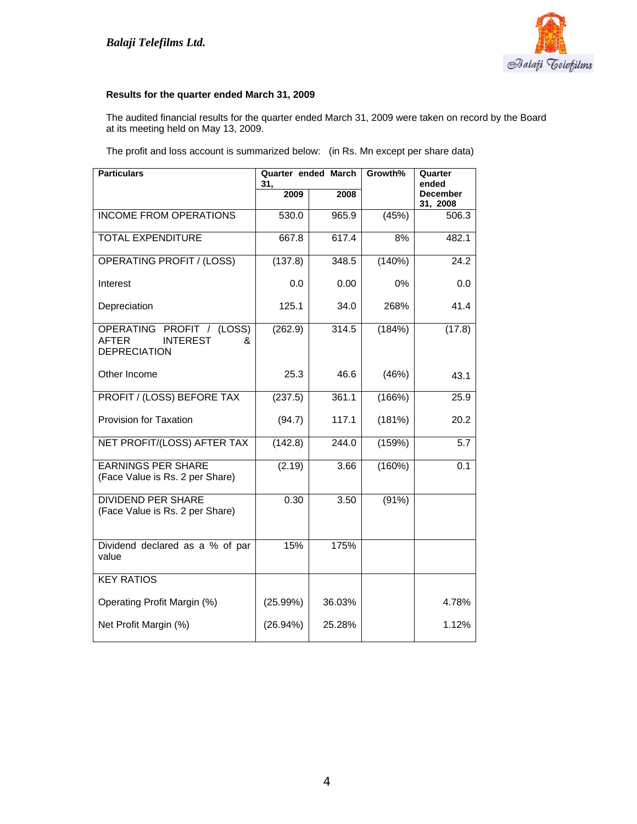

# **Results for the quarter ended March 31, 2009**

The audited financial results for the quarter ended March 31, 2009 were taken on record by the Board at its meeting held on May 13, 2009.

The profit and loss account is summarized below: (in Rs. Mn except per share data)

| <b>Particulars</b>                                                                       | Quarter ended March<br>31, |        | Growth% | Quarter<br>ended            |  |
|------------------------------------------------------------------------------------------|----------------------------|--------|---------|-----------------------------|--|
|                                                                                          | 2009                       | 2008   |         | <b>December</b><br>31, 2008 |  |
| <b>INCOME FROM OPERATIONS</b>                                                            | 530.0                      | 965.9  | (45%)   | 506.3                       |  |
| <b>TOTAL EXPENDITURE</b>                                                                 | 667.8                      | 617.4  | 8%      | 482.1                       |  |
| <b>OPERATING PROFIT / (LOSS)</b>                                                         | (137.8)                    | 348.5  | (140%)  | 24.2                        |  |
| Interest                                                                                 | 0.0                        | 0.00   | $0\%$   | 0.0                         |  |
| Depreciation                                                                             | 125.1                      | 34.0   | 268%    | 41.4                        |  |
| OPERATING PROFIT / (LOSS)<br><b>AFTER</b><br><b>INTEREST</b><br>&<br><b>DEPRECIATION</b> | (262.9)                    | 314.5  | (184%)  | (17.8)                      |  |
| Other Income                                                                             | 25.3                       | 46.6   | (46%)   | 43.1                        |  |
| PROFIT / (LOSS) BEFORE TAX                                                               | (237.5)                    | 361.1  | (166%)  | 25.9                        |  |
| Provision for Taxation                                                                   | (94.7)                     | 117.1  | (181%)  | 20.2                        |  |
| NET PROFIT/(LOSS) AFTER TAX                                                              | (142.8)                    | 244.0  | (159%)  | 5.7                         |  |
| <b>EARNINGS PER SHARE</b><br>(Face Value is Rs. 2 per Share)                             | (2.19)                     | 3.66   | (160%)  | 0.1                         |  |
| <b>DIVIDEND PER SHARE</b><br>(Face Value is Rs. 2 per Share)                             | 0.30                       | 3.50   | (91%)   |                             |  |
| Dividend declared as a % of par<br>value                                                 | 15%                        | 175%   |         |                             |  |
| <b>KEY RATIOS</b>                                                                        |                            |        |         |                             |  |
| Operating Profit Margin (%)                                                              | (25.99%)                   | 36.03% |         | 4.78%                       |  |
| Net Profit Margin (%)                                                                    | (26.94%)                   | 25.28% |         | 1.12%                       |  |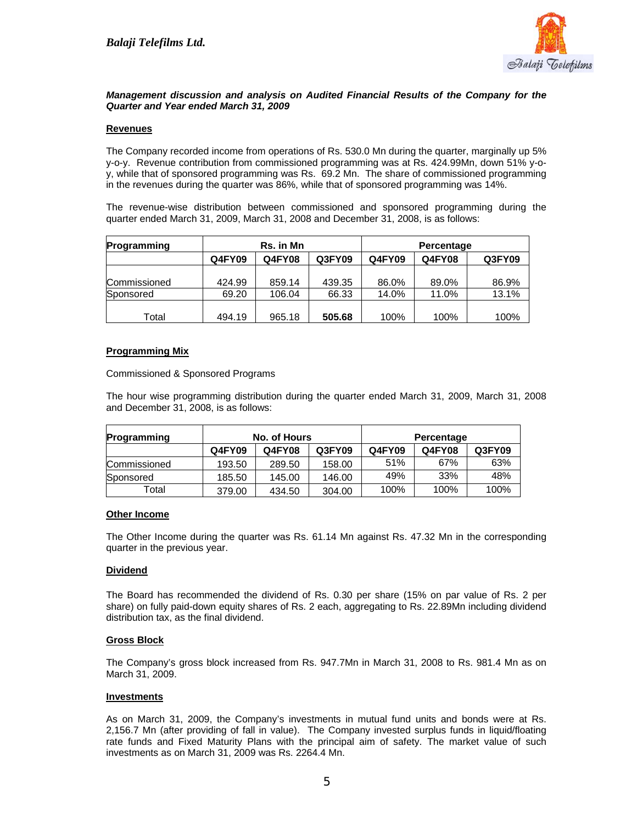

## *Management discussion and analysis on Audited Financial Results of the Company for the Quarter and Year ended March 31, 2009*

## **Revenues**

The Company recorded income from operations of Rs. 530.0 Mn during the quarter, marginally up 5% y-o-y. Revenue contribution from commissioned programming was at Rs. 424.99Mn, down 51% y-oy, while that of sponsored programming was Rs. 69.2 Mn. The share of commissioned programming in the revenues during the quarter was 86%, while that of sponsored programming was 14%.

The revenue-wise distribution between commissioned and sponsored programming during the quarter ended March 31, 2009, March 31, 2008 and December 31, 2008, is as follows:

| Programming  |        | <b>Rs.</b> in Mn |        | Percentage    |               |        |
|--------------|--------|------------------|--------|---------------|---------------|--------|
|              | Q4FY09 | <b>Q4FY08</b>    | Q3FY09 | <b>Q4FY09</b> | <b>Q4FY08</b> | Q3FY09 |
| Commissioned | 424.99 | 859.14           | 439.35 | 86.0%         | 89.0%         | 86.9%  |
| Sponsored    | 69.20  | 106.04           | 66.33  | 14.0%         | 11.0%         | 13.1%  |
| Total        | 494.19 | 965.18           | 505.68 | 100%          | 100%          | 100%   |

## **Programming Mix**

Commissioned & Sponsored Programs

The hour wise programming distribution during the quarter ended March 31, 2009, March 31, 2008 and December 31, 2008, is as follows:

| Programming  | No. of Hours |               | Percentage |        |        |        |
|--------------|--------------|---------------|------------|--------|--------|--------|
|              | Q4FY09       | <b>Q4FY08</b> | Q3FY09     | Q4FY09 | Q4FY08 | Q3FY09 |
| Commissioned | 193.50       | 289.50        | 158.00     | 51%    | 67%    | 63%    |
| Sponsored    | 185.50       | 145.00        | 146.00     | 49%    | 33%    | 48%    |
| Total        | 379.00       | 434.50        | 304.00     | 100%   | 100%   | 100%   |

#### **Other Income**

The Other Income during the quarter was Rs. 61.14 Mn against Rs. 47.32 Mn in the corresponding quarter in the previous year.

## **Dividend**

The Board has recommended the dividend of Rs. 0.30 per share (15% on par value of Rs. 2 per share) on fully paid-down equity shares of Rs. 2 each, aggregating to Rs. 22.89Mn including dividend distribution tax, as the final dividend.

## **Gross Block**

The Company's gross block increased from Rs. 947.7Mn in March 31, 2008 to Rs. 981.4 Mn as on March 31, 2009.

#### **Investments**

As on March 31, 2009, the Company's investments in mutual fund units and bonds were at Rs. 2,156.7 Mn (after providing of fall in value). The Company invested surplus funds in liquid/floating rate funds and Fixed Maturity Plans with the principal aim of safety. The market value of such investments as on March 31, 2009 was Rs. 2264.4 Mn.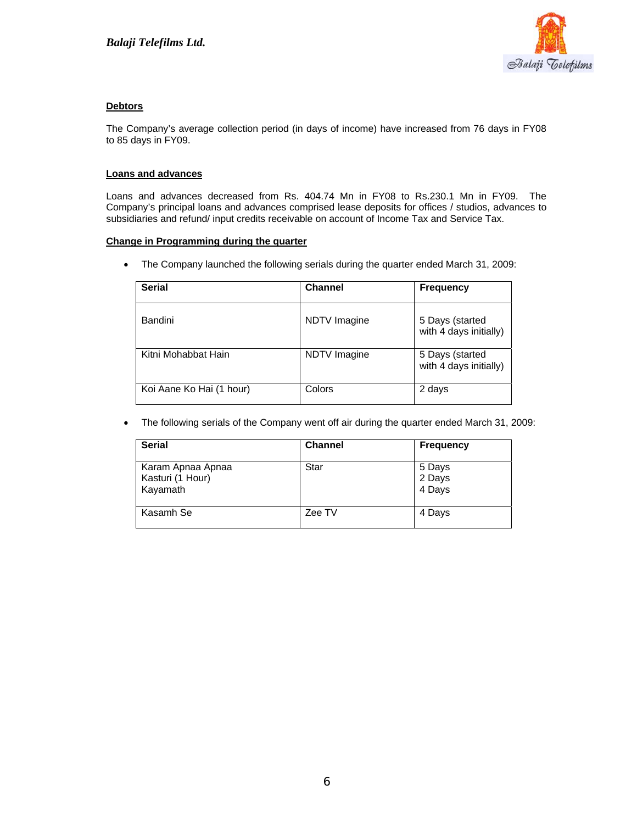

# **Debtors**

The Company's average collection period (in days of income) have increased from 76 days in FY08 to 85 days in FY09.

## **Loans and advances**

Loans and advances decreased from Rs. 404.74 Mn in FY08 to Rs.230.1 Mn in FY09. The Company's principal loans and advances comprised lease deposits for offices / studios, advances to subsidiaries and refund/ input credits receivable on account of Income Tax and Service Tax.

#### **Change in Programming during the quarter**

• The Company launched the following serials during the quarter ended March 31, 2009:

| <b>Serial</b>            | <b>Channel</b> | <b>Frequency</b>                          |
|--------------------------|----------------|-------------------------------------------|
| Bandini                  | NDTV Imagine   | 5 Days (started<br>with 4 days initially) |
| Kitni Mohabbat Hain      | NDTV Imagine   | 5 Days (started<br>with 4 days initially) |
| Koi Aane Ko Hai (1 hour) | Colors         | 2 days                                    |

• The following serials of the Company went off air during the quarter ended March 31, 2009:

| <b>Serial</b>                                     | <b>Channel</b> | <b>Frequency</b>           |
|---------------------------------------------------|----------------|----------------------------|
| Karam Apnaa Apnaa<br>Kasturi (1 Hour)<br>Kayamath | Star           | 5 Days<br>2 Days<br>4 Days |
| Kasamh Se                                         | Zee TV         | 4 Days                     |